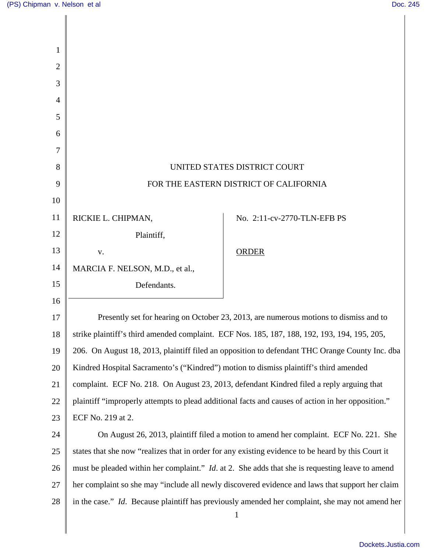$\overline{\phantom{a}}$ 

Ш

| 1  |                                                                                                        |                                                                                                 |
|----|--------------------------------------------------------------------------------------------------------|-------------------------------------------------------------------------------------------------|
| 2  |                                                                                                        |                                                                                                 |
| 3  |                                                                                                        |                                                                                                 |
| 4  |                                                                                                        |                                                                                                 |
| 5  |                                                                                                        |                                                                                                 |
| 6  |                                                                                                        |                                                                                                 |
| 7  |                                                                                                        |                                                                                                 |
| 8  | UNITED STATES DISTRICT COURT                                                                           |                                                                                                 |
| 9  | FOR THE EASTERN DISTRICT OF CALIFORNIA                                                                 |                                                                                                 |
| 10 |                                                                                                        |                                                                                                 |
| 11 | RICKIE L. CHIPMAN,                                                                                     | No. 2:11-cv-2770-TLN-EFB PS                                                                     |
| 12 | Plaintiff,                                                                                             |                                                                                                 |
| 13 | ${\bf V}$ .                                                                                            | <b>ORDER</b>                                                                                    |
| 14 | MARCIA F. NELSON, M.D., et al.,                                                                        |                                                                                                 |
| 15 | Defendants.                                                                                            |                                                                                                 |
| 16 |                                                                                                        |                                                                                                 |
| 17 | Presently set for hearing on October 23, 2013, are numerous motions to dismiss and to                  |                                                                                                 |
| 18 | strike plaintiff's third amended complaint. ECF Nos. 185, 187, 188, 192, 193, 194, 195, 205            |                                                                                                 |
| 19 | 206. On August 18, 2013, plaintiff filed an opposition to defendant THC Orange County Inc. dba         |                                                                                                 |
| 20 | Kindred Hospital Sacramento's ("Kindred") motion to dismiss plaintiff's third amended                  |                                                                                                 |
| 21 | complaint. ECF No. 218. On August 23, 2013, defendant Kindred filed a reply arguing that               |                                                                                                 |
| 22 | plaintiff "improperly attempts to plead additional facts and causes of action in her opposition."      |                                                                                                 |
| 23 | ECF No. 219 at 2.                                                                                      |                                                                                                 |
| 24 | On August 26, 2013, plaintiff filed a motion to amend her complaint. ECF No. 221. She                  |                                                                                                 |
| 25 | states that she now "realizes that in order for any existing evidence to be heard by this Court it     |                                                                                                 |
| 26 | must be pleaded within her complaint." <i>Id.</i> at 2. She adds that she is requesting leave to amend |                                                                                                 |
| 27 | her complaint so she may "include all newly discovered evidence and laws that support her claim        |                                                                                                 |
| 28 |                                                                                                        | in the case." Id. Because plaintiff has previously amended her complaint, she may not amend her |
|    |                                                                                                        | $\mathbf{1}$                                                                                    |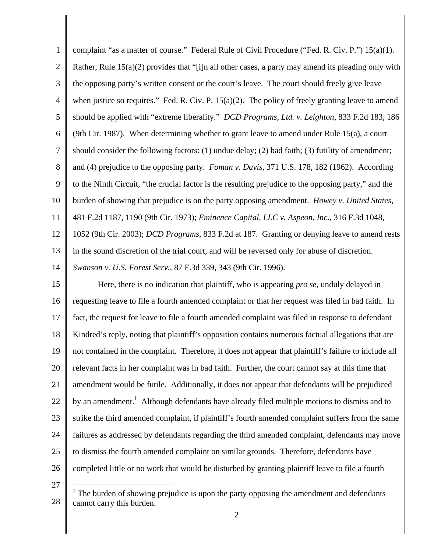1 2 3 4 5 6 7 8 9 10 11 12 13 14 15 16 17 18 19 20 21 22 23 24 25 26 27 complaint "as a matter of course." Federal Rule of Civil Procedure ("Fed. R. Civ. P.") 15(a)(1). Rather, Rule  $15(a)(2)$  provides that "[i]n all other cases, a party may amend its pleading only with the opposing party's written consent or the court's leave. The court should freely give leave when justice so requires." Fed. R. Civ. P.  $15(a)(2)$ . The policy of freely granting leave to amend should be applied with "extreme liberality." *DCD Programs, Ltd. v. Leighton*, 833 F.2d 183, 186 (9th Cir. 1987). When determining whether to grant leave to amend under Rule 15(a), a court should consider the following factors: (1) undue delay; (2) bad faith; (3) futility of amendment; and (4) prejudice to the opposing party. *Foman v. Davis*, 371 U.S. 178, 182 (1962). According to the Ninth Circuit, "the crucial factor is the resulting prejudice to the opposing party," and the burden of showing that prejudice is on the party opposing amendment. *Howey v. United States*, 481 F.2d 1187, 1190 (9th Cir. 1973); *Eminence Capital, LLC v. Aspeon, Inc.*, 316 F.3d 1048, 1052 (9th Cir. 2003); *DCD Programs*, 833 F.2d at 187. Granting or denying leave to amend rests in the sound discretion of the trial court, and will be reversed only for abuse of discretion. *Swanson v. U.S. Forest Serv.*, 87 F.3d 339, 343 (9th Cir. 1996). Here, there is no indication that plaintiff, who is appearing *pro se*, unduly delayed in requesting leave to file a fourth amended complaint or that her request was filed in bad faith. In fact, the request for leave to file a fourth amended complaint was filed in response to defendant Kindred's reply, noting that plaintiff's opposition contains numerous factual allegations that are not contained in the complaint. Therefore, it does not appear that plaintiff's failure to include all relevant facts in her complaint was in bad faith. Further, the court cannot say at this time that amendment would be futile. Additionally, it does not appear that defendants will be prejudiced by an amendment.<sup>1</sup> Although defendants have already filed multiple motions to dismiss and to strike the third amended complaint, if plaintiff's fourth amended complaint suffers from the same failures as addressed by defendants regarding the third amended complaint, defendants may move to dismiss the fourth amended complaint on similar grounds. Therefore, defendants have completed little or no work that would be disturbed by granting plaintiff leave to file a fourth  $\overline{1}$ 

<sup>28</sup>   $<sup>1</sup>$  The burden of showing prejudice is upon the party opposing the amendment and defendants</sup> cannot carry this burden.